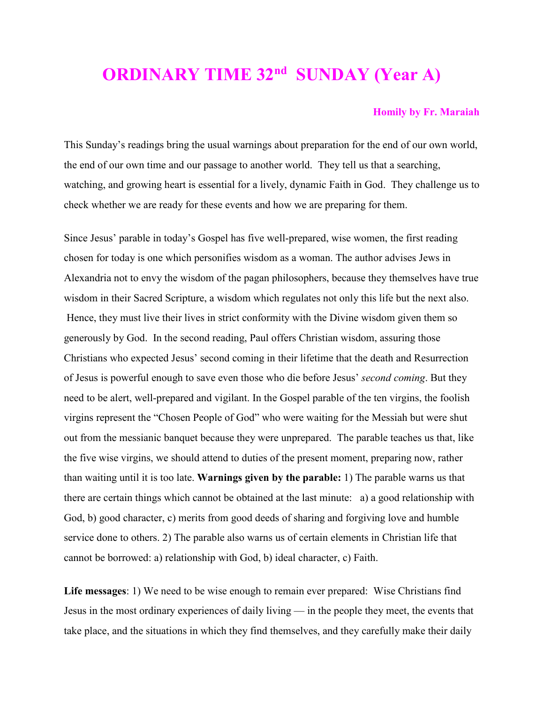## **ORDINARY TIME 32nd SUNDAY (Year A)**

## **Homily by Fr. Maraiah**

This Sunday's readings bring the usual warnings about preparation for the end of our own world, the end of our own time and our passage to another world. They tell us that a searching, watching, and growing heart is essential for a lively, dynamic Faith in God. They challenge us to check whether we are ready for these events and how we are preparing for them.

Since Jesus' parable in today's Gospel has five well-prepared, wise women, the first reading chosen for today is one which personifies wisdom as a woman. The author advises Jews in Alexandria not to envy the wisdom of the pagan philosophers, because they themselves have true wisdom in their Sacred Scripture, a wisdom which regulates not only this life but the next also. Hence, they must live their lives in strict conformity with the Divine wisdom given them so generously by God. In the second reading, Paul offers Christian wisdom, assuring those Christians who expected Jesus' second coming in their lifetime that the death and Resurrection of Jesus is powerful enough to save even those who die before Jesus' *second coming*. But they need to be alert, well-prepared and vigilant. In the Gospel parable of the ten virgins, the foolish virgins represent the "Chosen People of God" who were waiting for the Messiah but were shut out from the messianic banquet because they were unprepared. The parable teaches us that, like the five wise virgins, we should attend to duties of the present moment, preparing now, rather than waiting until it is too late. **Warnings given by the parable:** 1) The parable warns us that there are certain things which cannot be obtained at the last minute: a) a good relationship with God, b) good character, c) merits from good deeds of sharing and forgiving love and humble service done to others. 2) The parable also warns us of certain elements in Christian life that cannot be borrowed: a) relationship with God, b) ideal character, c) Faith.

**Life messages**: 1) We need to be wise enough to remain ever prepared: Wise Christians find Jesus in the most ordinary experiences of daily living — in the people they meet, the events that take place, and the situations in which they find themselves, and they carefully make their daily